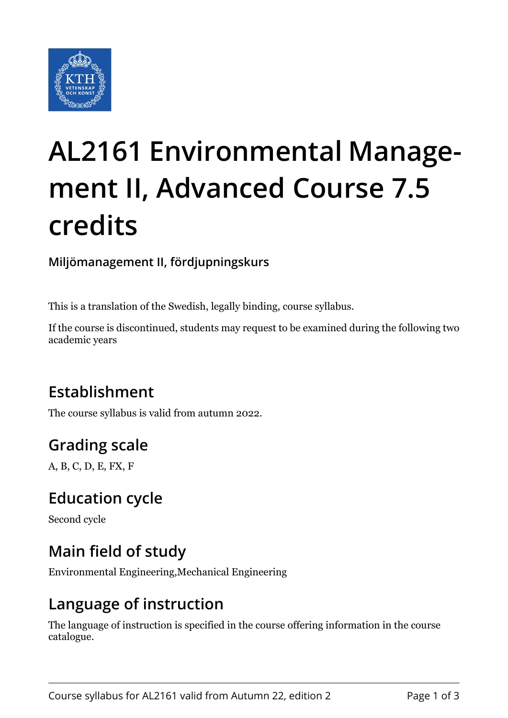

# **AL2161 Environmental Management II, Advanced Course 7.5 credits**

**Miljömanagement II, fördjupningskurs**

This is a translation of the Swedish, legally binding, course syllabus.

If the course is discontinued, students may request to be examined during the following two academic years

## **Establishment**

The course syllabus is valid from autumn 2022.

## **Grading scale**

A, B, C, D, E, FX, F

#### **Education cycle**

Second cycle

#### **Main field of study**

Environmental Engineering,Mechanical Engineering

#### **Language of instruction**

The language of instruction is specified in the course offering information in the course catalogue.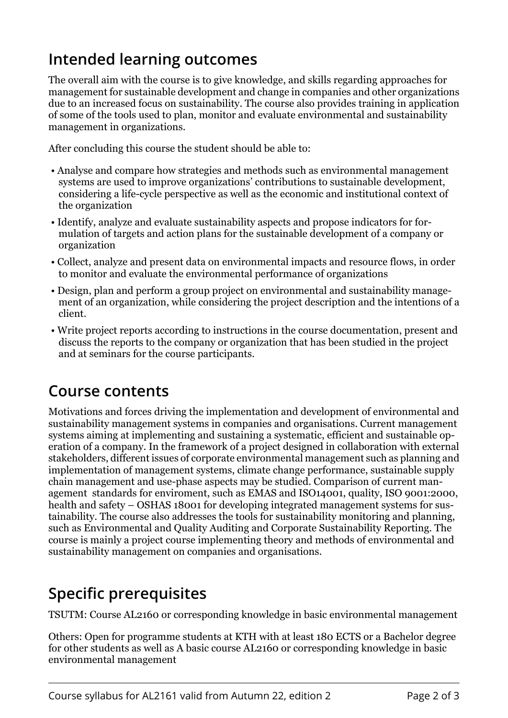#### **Intended learning outcomes**

The overall aim with the course is to give knowledge, and skills regarding approaches for management for sustainable development and change in companies and other organizations due to an increased focus on sustainability. The course also provides training in application of some of the tools used to plan, monitor and evaluate environmental and sustainability management in organizations.

After concluding this course the student should be able to:

- Analyse and compare how strategies and methods such as environmental management systems are used to improve organizations' contributions to sustainable development, considering a life-cycle perspective as well as the economic and institutional context of the organization
- Identify, analyze and evaluate sustainability aspects and propose indicators for formulation of targets and action plans for the sustainable development of a company or organization
- Collect, analyze and present data on environmental impacts and resource flows, in order to monitor and evaluate the environmental performance of organizations
- Design, plan and perform a group project on environmental and sustainability management of an organization, while considering the project description and the intentions of a client.
- Write project reports according to instructions in the course documentation, present and discuss the reports to the company or organization that has been studied in the project and at seminars for the course participants.

#### **Course contents**

Motivations and forces driving the implementation and development of environmental and sustainability management systems in companies and organisations. Current management systems aiming at implementing and sustaining a systematic, efficient and sustainable operation of a company. In the framework of a project designed in collaboration with external stakeholders, different issues of corporate environmental management such as planning and implementation of management systems, climate change performance, sustainable supply chain management and use-phase aspects may be studied. Comparison of current management standards for enviroment, such as EMAS and ISO14001, quality, ISO 9001:2000, health and safety – OSHAS 18001 for developing integrated management systems for sustainability. The course also addresses the tools for sustainability monitoring and planning, such as Environmental and Quality Auditing and Corporate Sustainability Reporting. The course is mainly a project course implementing theory and methods of environmental and sustainability management on companies and organisations.

## **Specific prerequisites**

TSUTM: Course AL2160 or corresponding knowledge in basic environmental management

Others: Open for programme students at KTH with at least 180 ECTS or a Bachelor degree for other students as well as A basic course AL2160 or corresponding knowledge in basic environmental management